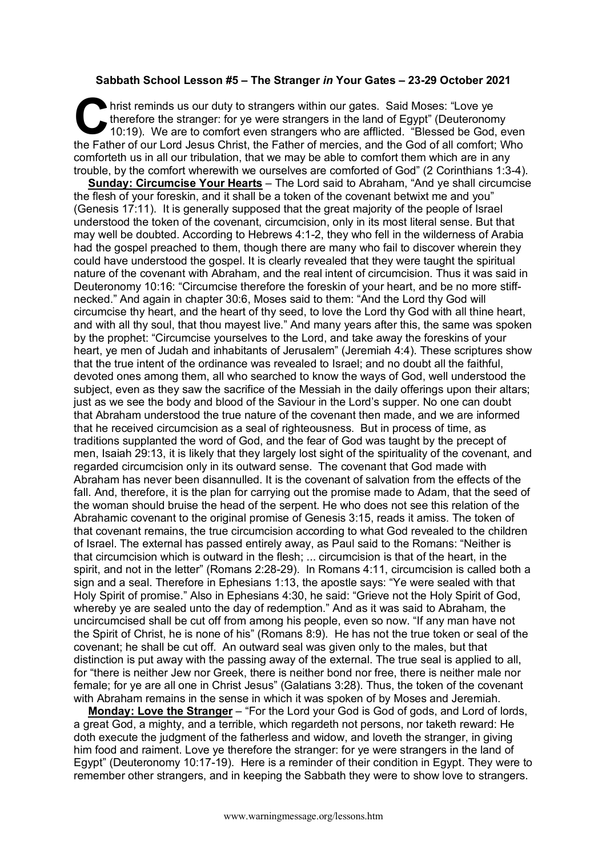## **Sabbath School Lesson #5 – The Stranger** *in* **Your Gates – 23-29 October 2021**

hrist reminds us our duty to strangers within our gates. Said Moses: "Love ye therefore the stranger: for ye were strangers in the land of Egypt" (Deuteronom 10:19). We are to comfort even strangers who are afflicted. "Ble therefore the stranger: for ye were strangers in the land of Egypt" (Deuteronomy 10:19). We are to comfort even strangers who are afflicted. "Blessed be God, even the Father of our Lord Jesus Christ, the Father of mercies, and the God of all comfort; Who comforteth us in all our tribulation, that we may be able to comfort them which are in any trouble, by the comfort wherewith we ourselves are comforted of God" (2 Corinthians 1:3-4).

**Sunday: Circumcise Your Hearts** – The Lord said to Abraham, "And ye shall circumcise the flesh of your foreskin, and it shall be a token of the covenant betwixt me and you" (Genesis 17:11). It is generally supposed that the great majority of the people of Israel understood the token of the covenant, circumcision, only in its most literal sense. But that may well be doubted. According to Hebrews 4:1-2, they who fell in the wilderness of Arabia had the gospel preached to them, though there are many who fail to discover wherein they could have understood the gospel. It is clearly revealed that they were taught the spiritual nature of the covenant with Abraham, and the real intent of circumcision. Thus it was said in Deuteronomy 10:16: "Circumcise therefore the foreskin of your heart, and be no more stiffnecked." And again in chapter 30:6, Moses said to them: "And the Lord thy God will circumcise thy heart, and the heart of thy seed, to love the Lord thy God with all thine heart, and with all thy soul, that thou mayest live." And many years after this, the same was spoken by the prophet: "Circumcise yourselves to the Lord, and take away the foreskins of your heart, ye men of Judah and inhabitants of Jerusalem" (Jeremiah 4:4). These scriptures show that the true intent of the ordinance was revealed to Israel; and no doubt all the faithful, devoted ones among them, all who searched to know the ways of God, well understood the subject, even as they saw the sacrifice of the Messiah in the daily offerings upon their altars; just as we see the body and blood of the Saviour in the Lord's supper. No one can doubt that Abraham understood the true nature of the covenant then made, and we are informed that he received circumcision as a seal of righteousness. But in process of time, as traditions supplanted the word of God, and the fear of God was taught by the precept of men, Isaiah 29:13, it is likely that they largely lost sight of the spirituality of the covenant, and regarded circumcision only in its outward sense. The covenant that God made with Abraham has never been disannulled. It is the covenant of salvation from the effects of the fall. And, therefore, it is the plan for carrying out the promise made to Adam, that the seed of the woman should bruise the head of the serpent. He who does not see this relation of the Abrahamic covenant to the original promise of Genesis 3:15, reads it amiss. The token of that covenant remains, the true circumcision according to what God revealed to the children of Israel. The external has passed entirely away, as Paul said to the Romans: "Neither is that circumcision which is outward in the flesh; ... circumcision is that of the heart, in the spirit, and not in the letter" (Romans 2:28-29). In Romans 4:11, circumcision is called both a sign and a seal. Therefore in Ephesians 1:13, the apostle says: "Ye were sealed with that Holy Spirit of promise." Also in Ephesians 4:30, he said: "Grieve not the Holy Spirit of God, whereby ye are sealed unto the day of redemption." And as it was said to Abraham, the uncircumcised shall be cut off from among his people, even so now. "If any man have not the Spirit of Christ, he is none of his" (Romans 8:9). He has not the true token or seal of the covenant; he shall be cut off. An outward seal was given only to the males, but that distinction is put away with the passing away of the external. The true seal is applied to all, for "there is neither Jew nor Greek, there is neither bond nor free, there is neither male nor female; for ye are all one in Christ Jesus" (Galatians 3:28). Thus, the token of the covenant with Abraham remains in the sense in which it was spoken of by Moses and Jeremiah.

**Monday: Love the Stranger** – "For the Lord your God is God of gods, and Lord of lords, a great God, a mighty, and a terrible, which regardeth not persons, nor taketh reward: He doth execute the judgment of the fatherless and widow, and loveth the stranger, in giving him food and raiment. Love ye therefore the stranger: for ye were strangers in the land of Egypt" (Deuteronomy 10:17-19). Here is a reminder of their condition in Egypt. They were to remember other strangers, and in keeping the Sabbath they were to show love to strangers.